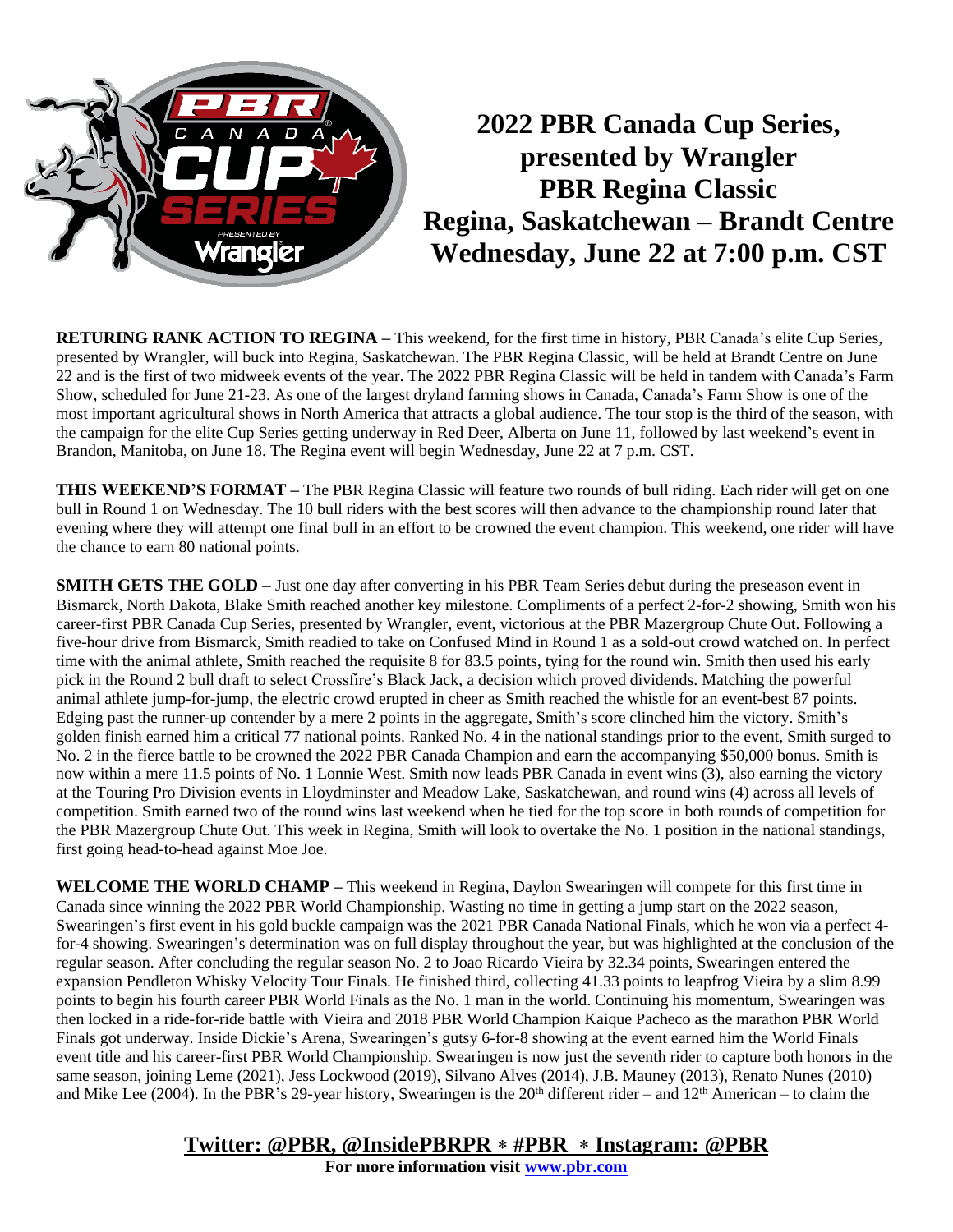

# **2022 PBR Canada Cup Series, presented by Wrangler PBR Regina Classic Regina, Saskatchewan – Brandt Centre Wednesday, June 22 at 7:00 p.m. CST**

**RETURING RANK ACTION TO REGINA –** This weekend, for the first time in history, PBR Canada's elite Cup Series, presented by Wrangler, will buck into Regina, Saskatchewan. The PBR Regina Classic, will be held at Brandt Centre on June 22 and is the first of two midweek events of the year. The 2022 PBR Regina Classic will be held in tandem with Canada's Farm Show, scheduled for June 21-23. As one of the largest dryland farming shows in Canada, Canada's Farm Show is one of the most important agricultural shows in North America that attracts a global audience. The tour stop is the third of the season, with the campaign for the elite Cup Series getting underway in Red Deer, Alberta on June 11, followed by last weekend's event in Brandon, Manitoba, on June 18. The Regina event will begin Wednesday, June 22 at 7 p.m. CST.

**THIS WEEKEND'S FORMAT –** The PBR Regina Classic will feature two rounds of bull riding. Each rider will get on one bull in Round 1 on Wednesday. The 10 bull riders with the best scores will then advance to the championship round later that evening where they will attempt one final bull in an effort to be crowned the event champion. This weekend, one rider will have the chance to earn 80 national points.

**SMITH GETS THE GOLD –** Just one day after converting in his PBR Team Series debut during the preseason event in Bismarck, North Dakota, Blake Smith reached another key milestone. Compliments of a perfect 2-for-2 showing, Smith won his career-first PBR Canada Cup Series, presented by Wrangler, event, victorious at the PBR Mazergroup Chute Out. Following a five-hour drive from Bismarck, Smith readied to take on Confused Mind in Round 1 as a sold-out crowd watched on. In perfect time with the animal athlete, Smith reached the requisite 8 for 83.5 points, tying for the round win. Smith then used his early pick in the Round 2 bull draft to select Crossfire's Black Jack, a decision which proved dividends. Matching the powerful animal athlete jump-for-jump, the electric crowd erupted in cheer as Smith reached the whistle for an event-best 87 points. Edging past the runner-up contender by a mere 2 points in the aggregate, Smith's score clinched him the victory. Smith's golden finish earned him a critical 77 national points. Ranked No. 4 in the national standings prior to the event, Smith surged to No. 2 in the fierce battle to be crowned the 2022 PBR Canada Champion and earn the accompanying \$50,000 bonus. Smith is now within a mere 11.5 points of No. 1 Lonnie West. Smith now leads PBR Canada in event wins (3), also earning the victory at the Touring Pro Division events in Lloydminster and Meadow Lake, Saskatchewan, and round wins (4) across all levels of competition. Smith earned two of the round wins last weekend when he tied for the top score in both rounds of competition for the PBR Mazergroup Chute Out. This week in Regina, Smith will look to overtake the No. 1 position in the national standings, first going head-to-head against Moe Joe.

**WELCOME THE WORLD CHAMP –** This weekend in Regina, Daylon Swearingen will compete for this first time in Canada since winning the 2022 PBR World Championship. Wasting no time in getting a jump start on the 2022 season, Swearingen's first event in his gold buckle campaign was the 2021 PBR Canada National Finals, which he won via a perfect 4 for-4 showing. Swearingen's determination was on full display throughout the year, but was highlighted at the conclusion of the regular season. After concluding the regular season No. 2 to Joao Ricardo Vieira by 32.34 points, Swearingen entered the expansion Pendleton Whisky Velocity Tour Finals. He finished third, collecting 41.33 points to leapfrog Vieira by a slim 8.99 points to begin his fourth career PBR World Finals as the No. 1 man in the world. Continuing his momentum, Swearingen was then locked in a ride-for-ride battle with Vieira and 2018 PBR World Champion Kaique Pacheco as the marathon PBR World Finals got underway. Inside Dickie's Arena, Swearingen's gutsy 6-for-8 showing at the event earned him the World Finals event title and his career-first PBR World Championship. Swearingen is now just the seventh rider to capture both honors in the same season, joining Leme (2021), Jess Lockwood (2019), Silvano Alves (2014), J.B. Mauney (2013), Renato Nunes (2010) and Mike Lee (2004). In the PBR's 29-year history, Swearingen is the  $20<sup>th</sup>$  different rider – and  $12<sup>th</sup>$  American – to claim the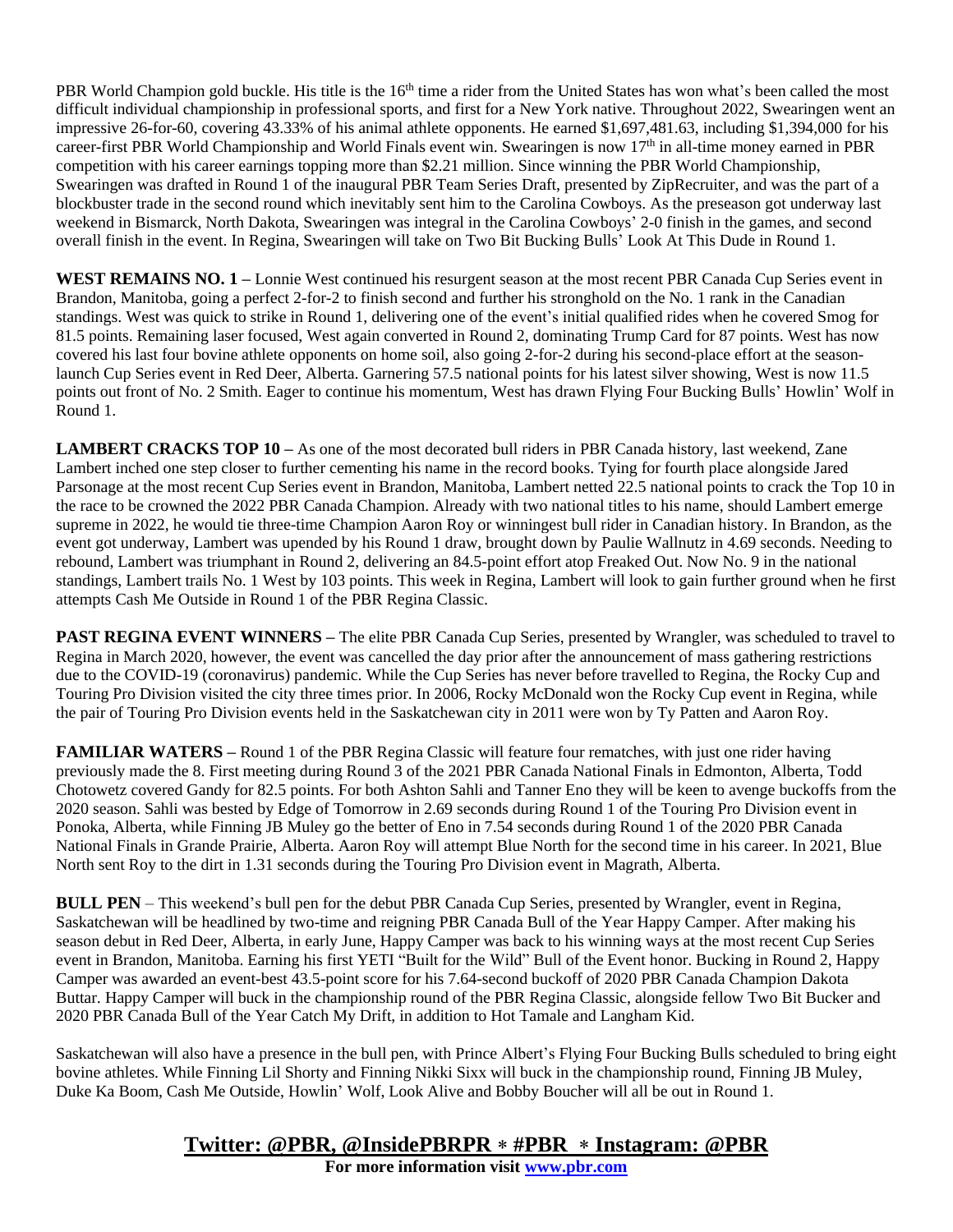PBR World Champion gold buckle. His title is the 16<sup>th</sup> time a rider from the United States has won what's been called the most difficult individual championship in professional sports, and first for a New York native. Throughout 2022, Swearingen went an impressive 26-for-60, covering 43.33% of his animal athlete opponents. He earned \$1,697,481.63, including \$1,394,000 for his career-first PBR World Championship and World Finals event win. Swearingen is now 17<sup>th</sup> in all-time money earned in PBR competition with his career earnings topping more than \$2.21 million. Since winning the PBR World Championship, Swearingen was drafted in Round 1 of the inaugural PBR Team Series Draft, presented by ZipRecruiter, and was the part of a blockbuster trade in the second round which inevitably sent him to the Carolina Cowboys. As the preseason got underway last weekend in Bismarck, North Dakota, Swearingen was integral in the Carolina Cowboys' 2-0 finish in the games, and second overall finish in the event. In Regina, Swearingen will take on Two Bit Bucking Bulls' Look At This Dude in Round 1.

**WEST REMAINS NO. 1 –** Lonnie West continued his resurgent season at the most recent PBR Canada Cup Series event in Brandon, Manitoba, going a perfect 2-for-2 to finish second and further his stronghold on the No. 1 rank in the Canadian standings. West was quick to strike in Round 1, delivering one of the event's initial qualified rides when he covered Smog for 81.5 points. Remaining laser focused, West again converted in Round 2, dominating Trump Card for 87 points. West has now covered his last four bovine athlete opponents on home soil, also going 2-for-2 during his second-place effort at the seasonlaunch Cup Series event in Red Deer, Alberta. Garnering 57.5 national points for his latest silver showing, West is now 11.5 points out front of No. 2 Smith. Eager to continue his momentum, West has drawn Flying Four Bucking Bulls' Howlin' Wolf in Round 1.

**LAMBERT CRACKS TOP 10 –** As one of the most decorated bull riders in PBR Canada history, last weekend, Zane Lambert inched one step closer to further cementing his name in the record books. Tying for fourth place alongside Jared Parsonage at the most recent Cup Series event in Brandon, Manitoba, Lambert netted 22.5 national points to crack the Top 10 in the race to be crowned the 2022 PBR Canada Champion. Already with two national titles to his name, should Lambert emerge supreme in 2022, he would tie three-time Champion Aaron Roy or winningest bull rider in Canadian history. In Brandon, as the event got underway, Lambert was upended by his Round 1 draw, brought down by Paulie Wallnutz in 4.69 seconds. Needing to rebound, Lambert was triumphant in Round 2, delivering an 84.5-point effort atop Freaked Out. Now No. 9 in the national standings, Lambert trails No. 1 West by 103 points. This week in Regina, Lambert will look to gain further ground when he first attempts Cash Me Outside in Round 1 of the PBR Regina Classic.

**PAST REGINA EVENT WINNERS –** The elite PBR Canada Cup Series, presented by Wrangler, was scheduled to travel to Regina in March 2020, however, the event was cancelled the day prior after the announcement of mass gathering restrictions due to the COVID-19 (coronavirus) pandemic. While the Cup Series has never before travelled to Regina, the Rocky Cup and Touring Pro Division visited the city three times prior. In 2006, Rocky McDonald won the Rocky Cup event in Regina, while the pair of Touring Pro Division events held in the Saskatchewan city in 2011 were won by Ty Patten and Aaron Roy.

**FAMILIAR WATERS** – Round 1 of the PBR Regina Classic will feature four rematches, with just one rider having previously made the 8. First meeting during Round 3 of the 2021 PBR Canada National Finals in Edmonton, Alberta, Todd Chotowetz covered Gandy for 82.5 points. For both Ashton Sahli and Tanner Eno they will be keen to avenge buckoffs from the 2020 season. Sahli was bested by Edge of Tomorrow in 2.69 seconds during Round 1 of the Touring Pro Division event in Ponoka, Alberta, while Finning JB Muley go the better of Eno in 7.54 seconds during Round 1 of the 2020 PBR Canada National Finals in Grande Prairie, Alberta. Aaron Roy will attempt Blue North for the second time in his career. In 2021, Blue North sent Roy to the dirt in 1.31 seconds during the Touring Pro Division event in Magrath, Alberta.

**BULL PEN** – This weekend's bull pen for the debut PBR Canada Cup Series, presented by Wrangler, event in Regina, Saskatchewan will be headlined by two-time and reigning PBR Canada Bull of the Year Happy Camper. After making his season debut in Red Deer, Alberta, in early June, Happy Camper was back to his winning ways at the most recent Cup Series event in Brandon, Manitoba. Earning his first YETI "Built for the Wild" Bull of the Event honor. Bucking in Round 2, Happy Camper was awarded an event-best 43.5-point score for his 7.64-second buckoff of 2020 PBR Canada Champion Dakota Buttar. Happy Camper will buck in the championship round of the PBR Regina Classic, alongside fellow Two Bit Bucker and 2020 PBR Canada Bull of the Year Catch My Drift, in addition to Hot Tamale and Langham Kid.

Saskatchewan will also have a presence in the bull pen, with Prince Albert's Flying Four Bucking Bulls scheduled to bring eight bovine athletes. While Finning Lil Shorty and Finning Nikki Sixx will buck in the championship round, Finning JB Muley, Duke Ka Boom, Cash Me Outside, Howlin' Wolf, Look Alive and Bobby Boucher will all be out in Round 1.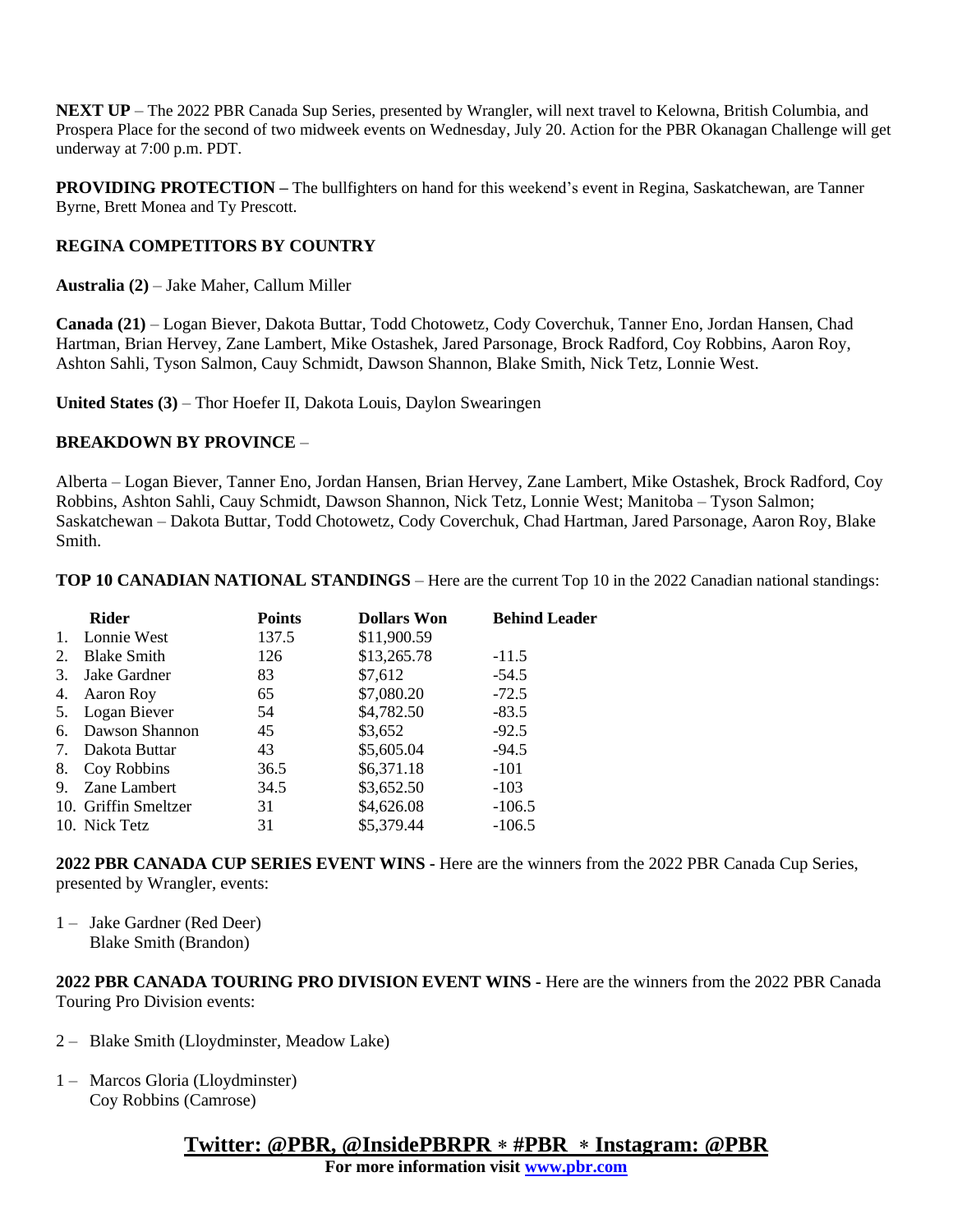**NEXT UP** – The 2022 PBR Canada Sup Series, presented by Wrangler, will next travel to Kelowna, British Columbia, and Prospera Place for the second of two midweek events on Wednesday, July 20. Action for the PBR Okanagan Challenge will get underway at 7:00 p.m. PDT.

**PROVIDING PROTECTION –** The bullfighters on hand for this weekend's event in Regina, Saskatchewan, are Tanner Byrne, Brett Monea and Ty Prescott.

#### **REGINA COMPETITORS BY COUNTRY**

**Australia (2)** – Jake Maher, Callum Miller

**Canada (21)** – Logan Biever, Dakota Buttar, Todd Chotowetz, Cody Coverchuk, Tanner Eno, Jordan Hansen, Chad Hartman, Brian Hervey, Zane Lambert, Mike Ostashek, Jared Parsonage, Brock Radford, Coy Robbins, Aaron Roy, Ashton Sahli, Tyson Salmon, Cauy Schmidt, Dawson Shannon, Blake Smith, Nick Tetz, Lonnie West.

**United States (3)** – Thor Hoefer II, Dakota Louis, Daylon Swearingen

#### **BREAKDOWN BY PROVINCE** –

Alberta – Logan Biever, Tanner Eno, Jordan Hansen, Brian Hervey, Zane Lambert, Mike Ostashek, Brock Radford, Coy Robbins, Ashton Sahli, Cauy Schmidt, Dawson Shannon, Nick Tetz, Lonnie West; Manitoba – Tyson Salmon; Saskatchewan – Dakota Buttar, Todd Chotowetz, Cody Coverchuk, Chad Hartman, Jared Parsonage, Aaron Roy, Blake Smith.

**TOP 10 CANADIAN NATIONAL STANDINGS** – Here are the current Top 10 in the 2022 Canadian national standings:

| <b>Rider</b> | <b>Points</b>                                                                                                                                                                                   | <b>Dollars Won</b> | <b>Behind Leader</b> |
|--------------|-------------------------------------------------------------------------------------------------------------------------------------------------------------------------------------------------|--------------------|----------------------|
|              | 137.5                                                                                                                                                                                           | \$11,900.59        |                      |
|              | 126                                                                                                                                                                                             | \$13,265.78        | $-11.5$              |
|              | 83                                                                                                                                                                                              | \$7,612            | $-54.5$              |
|              | 65                                                                                                                                                                                              | \$7,080.20         | $-72.5$              |
|              | 54                                                                                                                                                                                              | \$4,782.50         | $-83.5$              |
|              | 45                                                                                                                                                                                              | \$3,652            | $-92.5$              |
|              | 43                                                                                                                                                                                              | \$5,605.04         | $-94.5$              |
|              | 36.5                                                                                                                                                                                            | \$6,371.18         | $-101$               |
|              | 34.5                                                                                                                                                                                            | \$3,652.50         | $-103$               |
|              | 31                                                                                                                                                                                              | \$4,626.08         | $-106.5$             |
|              | 31                                                                                                                                                                                              | \$5,379.44         | $-106.5$             |
|              | Lonnie West<br><b>Blake Smith</b><br>Jake Gardner<br>4. Aaron Roy<br>5. Logan Biever<br>Dawson Shannon<br>Dakota Buttar<br>Coy Robbins<br>Zane Lambert<br>10. Griffin Smeltzer<br>10. Nick Tetz |                    |                      |

**2022 PBR CANADA CUP SERIES EVENT WINS -** Here are the winners from the 2022 PBR Canada Cup Series, presented by Wrangler, events:

1 – Jake Gardner (Red Deer) Blake Smith (Brandon)

**2022 PBR CANADA TOURING PRO DIVISION EVENT WINS -** Here are the winners from the 2022 PBR Canada Touring Pro Division events:

- 2 Blake Smith (Lloydminster, Meadow Lake)
- 1 Marcos Gloria (Lloydminster) Coy Robbins (Camrose)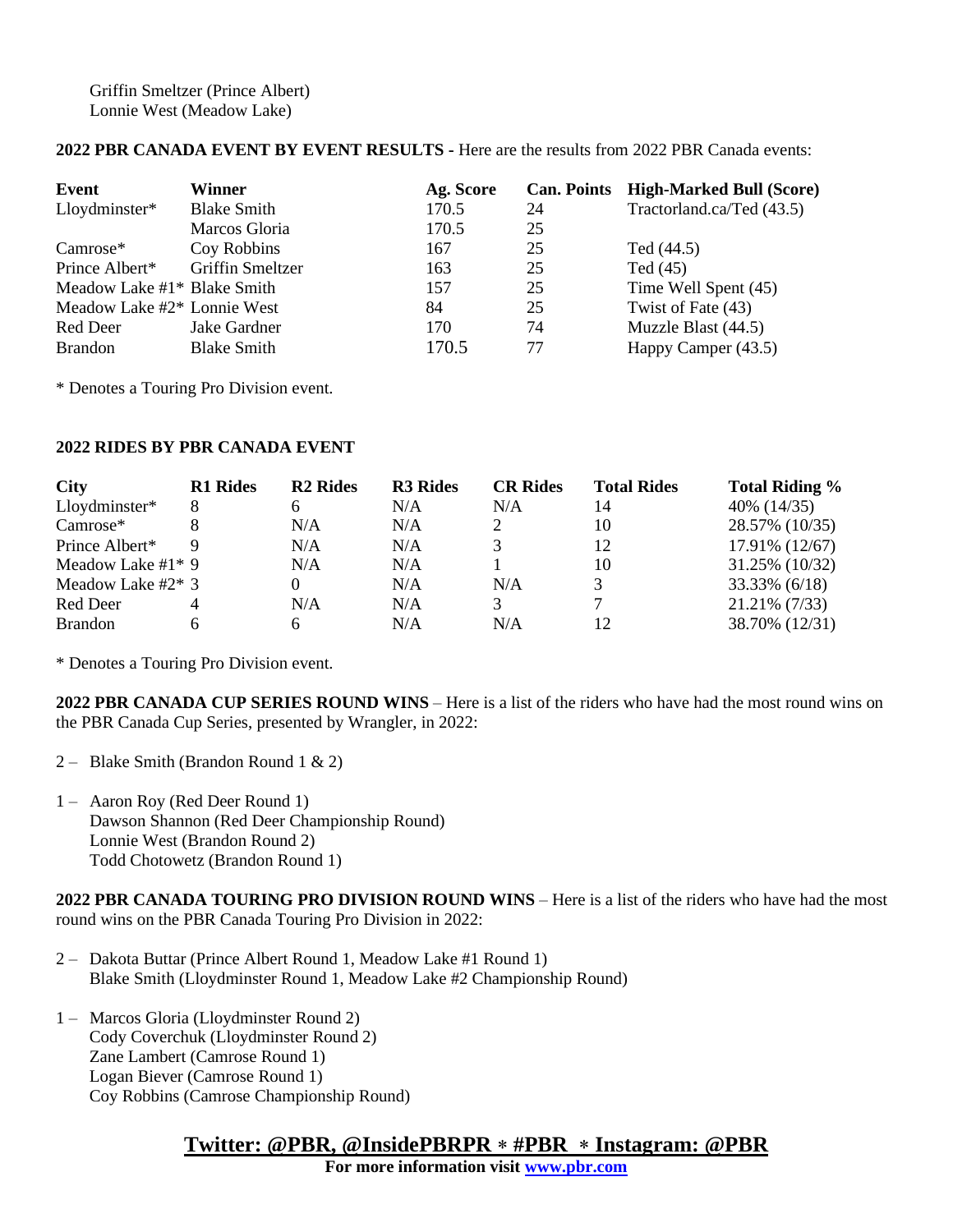Griffin Smeltzer (Prince Albert) Lonnie West (Meadow Lake)

### **2022 PBR CANADA EVENT BY EVENT RESULTS -** Here are the results from 2022 PBR Canada events:

| Event                         | Winner                  | Ag. Score |    | Can. Points High-Marked Bull (Score) |
|-------------------------------|-------------------------|-----------|----|--------------------------------------|
| Lloydminster*                 | <b>Blake Smith</b>      | 170.5     | 24 | Tractorland.ca/Ted (43.5)            |
|                               | Marcos Gloria           | 170.5     | 25 |                                      |
| Camrose*                      | Coy Robbins             | 167       | 25 | Ted (44.5)                           |
| Prince Albert*                | <b>Griffin Smeltzer</b> | 163       | 25 | Ted $(45)$                           |
| Meadow Lake $#1*$ Blake Smith |                         | 157       | 25 | Time Well Spent (45)                 |
| Meadow Lake #2* Lonnie West   |                         | 84        | 25 | Twist of Fate (43)                   |
| Red Deer                      | Jake Gardner            | 170       | 74 | Muzzle Blast (44.5)                  |
| <b>Brandon</b>                | <b>Blake Smith</b>      | 170.5     | 77 | Happy Camper (43.5)                  |

\* Denotes a Touring Pro Division event.

#### **2022 RIDES BY PBR CANADA EVENT**

| <b>City</b>          | <b>R1</b> Rides | <b>R2</b> Rides | <b>R3</b> Rides | <b>CR Rides</b> | <b>Total Rides</b> | <b>Total Riding %</b> |
|----------------------|-----------------|-----------------|-----------------|-----------------|--------------------|-----------------------|
| Lloydminster*        | 8               |                 | N/A             | N/A             | 14                 | 40\% (14/35)          |
| Camrose*             |                 | N/A             | N/A             |                 | 10                 | 28.57% (10/35)        |
| Prince Albert*       | Q               | N/A             | N/A             | 3               | 12                 | 17.91% (12/67)        |
| Meadow Lake $#1*9$   |                 | N/A             | N/A             |                 | 10                 | 31.25% (10/32)        |
| Meadow Lake #2 $*$ 3 |                 |                 | N/A             | N/A             |                    | $33.33\%$ (6/18)      |
| Red Deer             |                 | N/A             | N/A             | 3               |                    | 21.21% (7/33)         |
| <b>Brandon</b>       |                 | h               | N/A             | N/A             | 12                 | 38.70% (12/31)        |

\* Denotes a Touring Pro Division event.

**2022 PBR CANADA CUP SERIES ROUND WINS** – Here is a list of the riders who have had the most round wins on the PBR Canada Cup Series, presented by Wrangler, in 2022:

- 2 Blake Smith (Brandon Round 1 & 2)
- 1 Aaron Roy (Red Deer Round 1) Dawson Shannon (Red Deer Championship Round) Lonnie West (Brandon Round 2) Todd Chotowetz (Brandon Round 1)

**2022 PBR CANADA TOURING PRO DIVISION ROUND WINS** – Here is a list of the riders who have had the most round wins on the PBR Canada Touring Pro Division in 2022:

- 2 Dakota Buttar (Prince Albert Round 1, Meadow Lake #1 Round 1) Blake Smith (Lloydminster Round 1, Meadow Lake #2 Championship Round)
- 1 Marcos Gloria (Lloydminster Round 2) Cody Coverchuk (Lloydminster Round 2) Zane Lambert (Camrose Round 1) Logan Biever (Camrose Round 1) Coy Robbins (Camrose Championship Round)